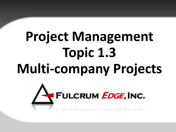# **Project Management Topic 1.3 Multi-company Projects**

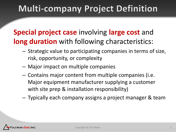## **Multi-company Project Definition**

#### **Special project case** involving **large cost** and **long duration** with following characteristics:

- Strategic value to participating companies in terms of size, risk, opportunity, or complexity
- Major impact on multiple companies
- Contains major content from multiple companies (i.e. Major equipment manufacturer supplying a customer with site prep & installation responsibility)
- Typically each company assigns a project manager & team

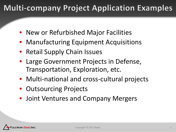### **Multi-company Project Application Examples**

- New or Refurbished Major Facilities
- Manufacturing Equipment Acquisitions
- Retail Supply Chain Issues
- Large Government Projects in Defense, Transportation, Exploration, etc.
- Multi-national and cross-cultural projects
- Outsourcing Projects
- Joint Ventures and Company Mergers

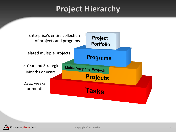#### **Project Hierarchy**



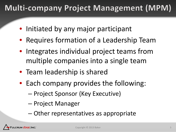## **Multi-company Project Management (MPM)**

- Initiated by any major participant
- Requires formation of a Leadership Team
- Integrates individual project teams from multiple companies into a single team
- Team leadership is shared
- Each company provides the following:
	- Project Sponsor (Key Executive)
	- Project Manager
	- Other representatives as appropriate

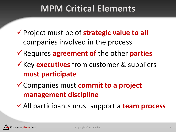## **MPM Critical Elements**

- Project must be of **strategic value to all**  companies involved in the process.
- Requires **agreement of** the other **parties**
- **★ Key executives** from customer & suppliers **must participate**
- Companies must **commit to a project management discipline**
- All participants must support a **team process**

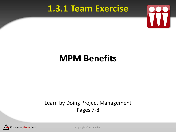#### 1.3.1 Team Exercise



#### **1.3.1 Team Exercise MPM Benefits MPM Benefits**

#### Learn by Doing Project Management Pages 7-8



Copyright © 2013 Baker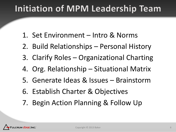## **Initiation of MPM Leadership Team**

- 1. Set Environment Intro & Norms
- 2. Build Relationships Personal History
- 3. Clarify Roles Organizational Charting
- 4. Org. Relationship Situational Matrix
- 5. Generate Ideas & Issues Brainstorm
- 6. Establish Charter & Objectives
- 7. Begin Action Planning & Follow Up

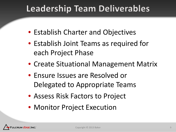## **Leadership Team Deliverables**

- Establish Charter and Objectives
- Establish Joint Teams as required for each Project Phase
- Create Situational Management Matrix
- Ensure Issues are Resolved or Delegated to Appropriate Teams
- Assess Risk Factors to Project
- Monitor Project Execution